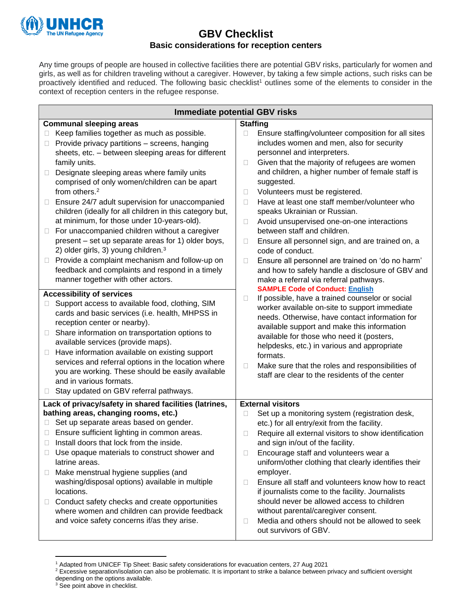

# **GBV Checklist Basic considerations for reception centers**

Any time groups of people are housed in collective facilities there are potential GBV risks, particularly for women and girls, as well as for children traveling without a caregiver. However, by taking a few simple actions, such risks can be proactively identified and reduced. The following basic checklist<sup>1</sup> outlines some of the elements to consider in the context of reception centers in the refugee response.

| <b>Immediate potential GBV risks</b>                                                                                                                                                                                                                                                                                                                                                                                                                                                                             |                                                                                                                                                                                                                                                                                                                                                                                                                           |
|------------------------------------------------------------------------------------------------------------------------------------------------------------------------------------------------------------------------------------------------------------------------------------------------------------------------------------------------------------------------------------------------------------------------------------------------------------------------------------------------------------------|---------------------------------------------------------------------------------------------------------------------------------------------------------------------------------------------------------------------------------------------------------------------------------------------------------------------------------------------------------------------------------------------------------------------------|
| <b>Communal sleeping areas</b>                                                                                                                                                                                                                                                                                                                                                                                                                                                                                   | <b>Staffing</b>                                                                                                                                                                                                                                                                                                                                                                                                           |
| Keep families together as much as possible.<br>Provide privacy partitions - screens, hanging<br>□<br>sheets, etc. - between sleeping areas for different<br>family units.                                                                                                                                                                                                                                                                                                                                        | Ensure staffing/volunteer composition for all sites<br>includes women and men, also for security<br>personnel and interpreters.<br>Given that the majority of refugees are women<br>□                                                                                                                                                                                                                                     |
| Designate sleeping areas where family units<br>□<br>comprised of only women/children can be apart<br>from others. <sup>2</sup>                                                                                                                                                                                                                                                                                                                                                                                   | and children, a higher number of female staff is<br>suggested.<br>Volunteers must be registered.<br>$\Box$                                                                                                                                                                                                                                                                                                                |
| Ensure 24/7 adult supervision for unaccompanied<br>Ш<br>children (ideally for all children in this category but,<br>at minimum, for those under 10-years-old).                                                                                                                                                                                                                                                                                                                                                   | Have at least one staff member/volunteer who<br>П<br>speaks Ukrainian or Russian.<br>Avoid unsupervised one-on-one interactions<br>Ш                                                                                                                                                                                                                                                                                      |
| For unaccompanied children without a caregiver<br>$\Box$                                                                                                                                                                                                                                                                                                                                                                                                                                                         | between staff and children.                                                                                                                                                                                                                                                                                                                                                                                               |
| present - set up separate areas for 1) older boys,<br>2) older girls, 3) young children. <sup>3</sup>                                                                                                                                                                                                                                                                                                                                                                                                            | Ensure all personnel sign, and are trained on, a<br>□<br>code of conduct.                                                                                                                                                                                                                                                                                                                                                 |
| Provide a complaint mechanism and follow-up on<br>Ш<br>feedback and complaints and respond in a timely<br>manner together with other actors.                                                                                                                                                                                                                                                                                                                                                                     | Ensure all personnel are trained on 'do no harm'<br>□<br>and how to safely handle a disclosure of GBV and<br>make a referral via referral pathways.<br><b>SAMPLE Code of Conduct: English</b>                                                                                                                                                                                                                             |
| <b>Accessibility of services</b><br>Support access to available food, clothing, SIM<br>cards and basic services (i.e. health, MHPSS in<br>reception center or nearby).<br>Share information on transportation options to<br>Ш<br>available services (provide maps).<br>Have information available on existing support<br>□<br>services and referral options in the location where<br>you are working. These should be easily available<br>and in various formats.<br>Stay updated on GBV referral pathways.<br>Ц | If possible, have a trained counselor or social<br>Ш<br>worker available on-site to support immediate<br>needs. Otherwise, have contact information for<br>available support and make this information<br>available for those who need it (posters,<br>helpdesks, etc.) in various and appropriate<br>formats.<br>Make sure that the roles and responsibilities of<br>□<br>staff are clear to the residents of the center |
|                                                                                                                                                                                                                                                                                                                                                                                                                                                                                                                  |                                                                                                                                                                                                                                                                                                                                                                                                                           |
| Lack of privacy/safety in shared facilities (latrines,<br>bathing areas, changing rooms, etc.)                                                                                                                                                                                                                                                                                                                                                                                                                   | <b>External visitors</b><br>Set up a monitoring system (registration desk,<br>Ш                                                                                                                                                                                                                                                                                                                                           |
| Set up separate areas based on gender.<br>Ш                                                                                                                                                                                                                                                                                                                                                                                                                                                                      | etc.) for all entry/exit from the facility.                                                                                                                                                                                                                                                                                                                                                                               |
| Ensure sufficient lighting in common areas.                                                                                                                                                                                                                                                                                                                                                                                                                                                                      | Require all external visitors to show identification<br>П                                                                                                                                                                                                                                                                                                                                                                 |
| Install doors that lock from the inside.                                                                                                                                                                                                                                                                                                                                                                                                                                                                         | and sign in/out of the facility.                                                                                                                                                                                                                                                                                                                                                                                          |
| □ Use opaque materials to construct shower and<br>latrine areas.<br>Make menstrual hygiene supplies (and<br>$\Box$                                                                                                                                                                                                                                                                                                                                                                                               | Encourage staff and volunteers wear a<br>$\Box$<br>uniform/other clothing that clearly identifies their<br>employer.                                                                                                                                                                                                                                                                                                      |
| washing/disposal options) available in multiple<br>locations.                                                                                                                                                                                                                                                                                                                                                                                                                                                    | Ensure all staff and volunteers know how to react<br>П<br>if journalists come to the facility. Journalists                                                                                                                                                                                                                                                                                                                |
| Conduct safety checks and create opportunities<br>□<br>where women and children can provide feedback<br>and voice safety concerns if/as they arise.                                                                                                                                                                                                                                                                                                                                                              | should never be allowed access to children<br>without parental/caregiver consent.<br>Media and others should not be allowed to seek<br>□                                                                                                                                                                                                                                                                                  |
|                                                                                                                                                                                                                                                                                                                                                                                                                                                                                                                  | out survivors of GBV.                                                                                                                                                                                                                                                                                                                                                                                                     |

<sup>1</sup> Adapted from UNICEF Tip Sheet: Basic safety considerations for evacuation centers, 27 Aug 2021

<sup>&</sup>lt;sup>2</sup> Excessive separation/isolation can also be problematic. It is important to strike a balance between privacy and sufficient oversight depending on the options available.

<sup>&</sup>lt;sup>3</sup> See point above in checklist.